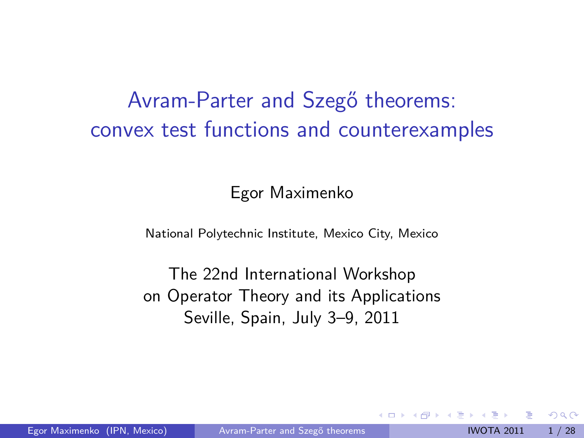# Avram-Parter and Szegő theorems: convex test functions and counterexamples

<span id="page-0-0"></span>Egor Maximenko

National Polytechnic Institute, Mexico City, Mexico

The 22nd International Workshop on Operator Theory and its Applications Seville, Spain, July 3–9, 2011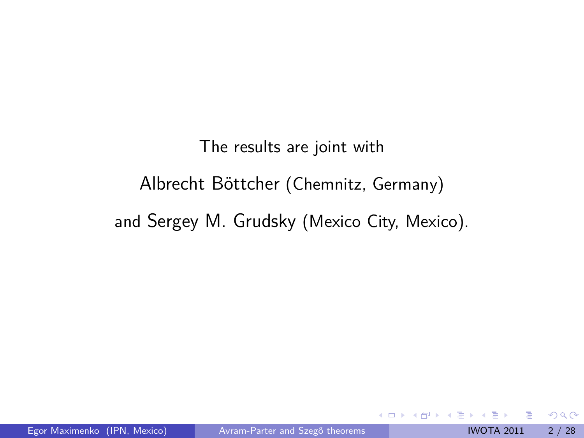The results are joint with Albrecht Böttcher (Chemnitz, Germany) and Sergey M. Grudsky (Mexico City, Mexico).

4 0 8

-4 B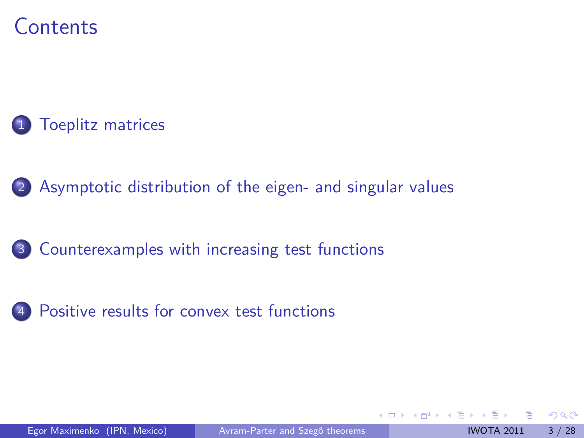## **Contents**



[Asymptotic distribution of the eigen- and singular values](#page-10-0)

- [Counterexamples with increasing test functions](#page-21-0)
- [Positive results for convex test functions](#page-29-0)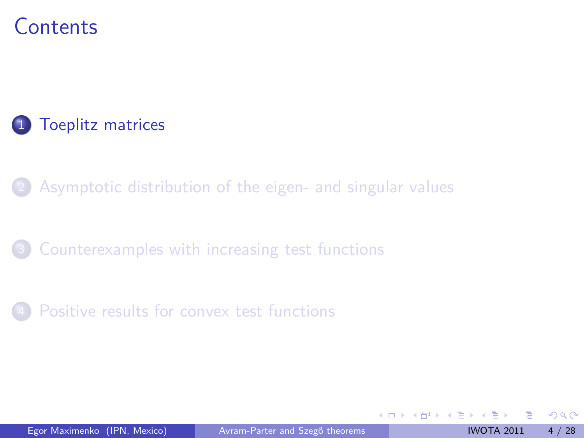## **Contents**

### 1 [Toeplitz matrices](#page-3-0)

[Asymptotic distribution of the eigen- and singular values](#page-10-0)

- [Counterexamples with increasing test functions](#page-21-0)
- [Positive results for convex test functions](#page-29-0)

<span id="page-3-0"></span>4 0 3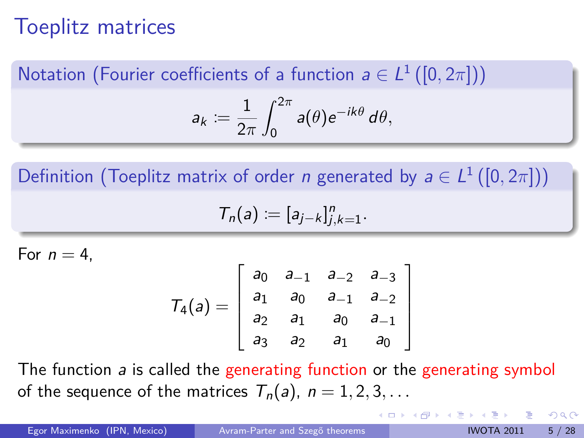# Toeplitz matrices

Notation (Fourier coefficients of a function  $a\in L^{1}\left([0,2\pi]\right))$ 

$$
a_k \coloneqq \frac{1}{2\pi} \int_0^{2\pi} a(\theta) e^{-ik\theta} d\theta,
$$

Definition (Toeplitz matrix of order *n* generated by  $a \in L^1([0,2\pi]))$ 

$$
T_n(a) := [a_{j-k}]_{j,k=1}^n.
$$

For  $n = 4$ .

$$
T_4(a) = \left[ \begin{array}{cccc} a_0 & a_{-1} & a_{-2} & a_{-3} \\ a_1 & a_0 & a_{-1} & a_{-2} \\ a_2 & a_1 & a_0 & a_{-1} \\ a_3 & a_2 & a_1 & a_0 \end{array} \right]
$$

The function a is called the generating function or the generating symbol of the sequence of the matrices  $T_n(a)$ ,  $n = 1, 2, 3, \ldots$ 

Egor Maximenko (IPN, Mexico) Avram-Parter and Szegő theorems IWOTA 2011 5/28

 $QQ$ 

イロト イ押ト イヨト イヨ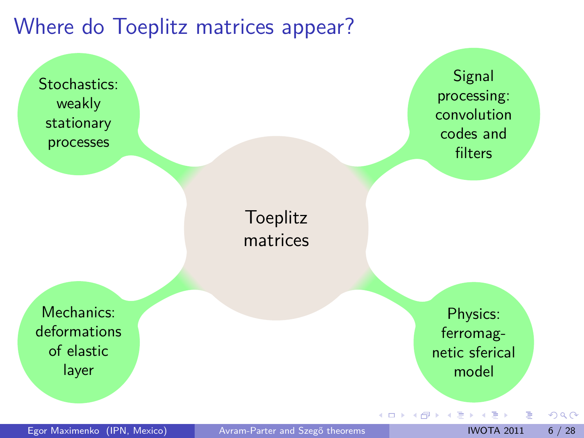## Where do Toeplitz matrices appear?

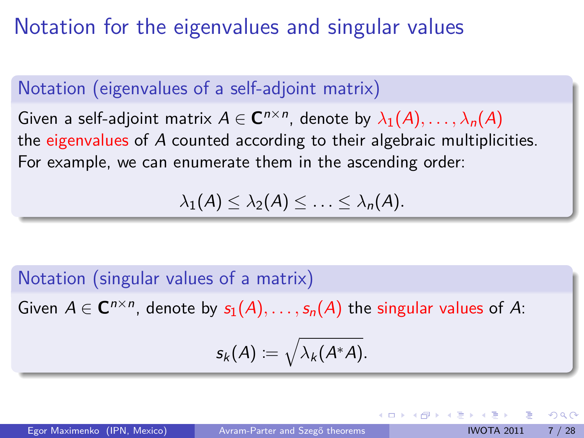# Notation for the eigenvalues and singular values

### Notation (eigenvalues of a self-adjoint matrix)

 $\mathsf{Given}$  a self-adjoint matrix  $A \in \mathbf{C}^{n \times n}$ , denote by  $\lambda_1(A), \ldots, \lambda_n(A)$ the eigenvalues of A counted according to their algebraic multiplicities. For example, we can enumerate them in the ascending order:

 $\lambda_1(A) \leq \lambda_2(A) \leq \ldots \leq \lambda_n(A)$ .

#### Notation (singular values of a matrix)

Given  $A \in \mathbf{C}^{n \times n}$ , denote by  $s_1(A), \ldots, s_n(A)$  the singular values of A:

$$
\mathsf{s}_k(A)\coloneqq\sqrt{\lambda_k(A^*A)}.
$$

 $\Omega$ 

イロト イ押 トイヨ トイヨ トー ヨ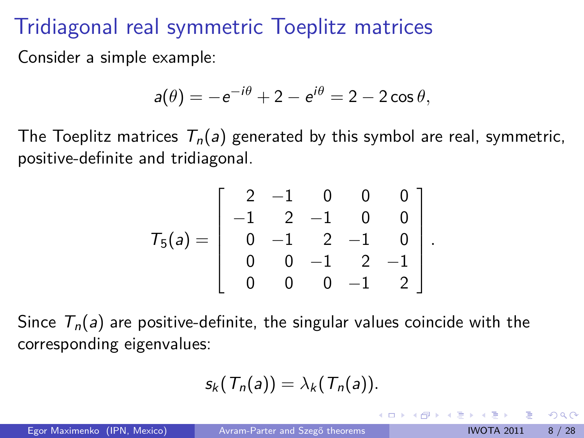# Tridiagonal real symmetric Toeplitz matrices

Consider a simple example:

$$
a(\theta) = -e^{-i\theta} + 2 - e^{i\theta} = 2 - 2\cos\theta,
$$

The Toeplitz matrices  $T_n(a)$  generated by this symbol are real, symmetric, positive-definite and tridiagonal.

$$
T_5(a) = \left[\begin{array}{rrrrr} 2 & -1 & 0 & 0 & 0 \\ -1 & 2 & -1 & 0 & 0 \\ 0 & -1 & 2 & -1 & 0 \\ 0 & 0 & -1 & 2 & -1 \\ 0 & 0 & 0 & -1 & 2 \end{array}\right].
$$

Since  $T_n(a)$  are positive-definite, the singular values coincide with the corresponding eigenvalues:

$$
s_k(T_n(a))=\lambda_k(T_n(a)).
$$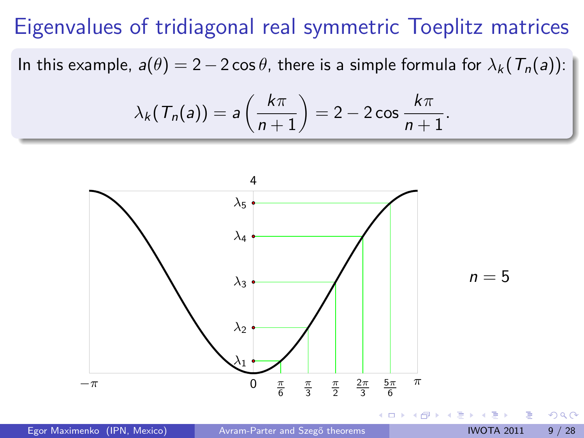# Eigenvalues of tridiagonal real symmetric Toeplitz matrices

In this example,  $a(\theta) = 2 - 2\cos\theta$ , there is a simple formula for  $\lambda_k(T_n(a))$ :

$$
\lambda_k(\mathcal{T}_n(a)) = a\left(\frac{k\pi}{n+1}\right) = 2 - 2\cos\frac{k\pi}{n+1}.
$$

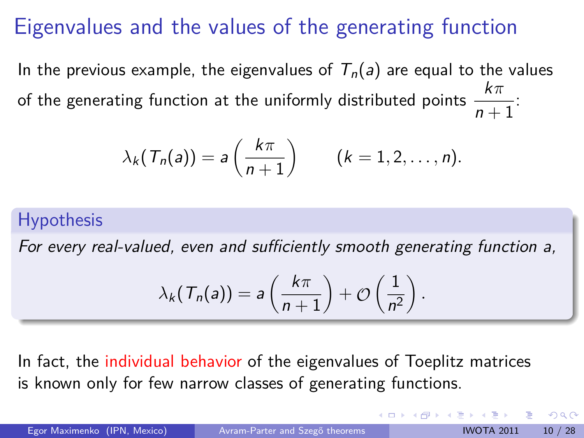# Eigenvalues and the values of the generating function

In the previous example, the eigenvalues of  $T_n(a)$  are equal to the values of the generating function at the uniformly distributed points  $\displaystyle{\frac{k\pi}{n+1}}$ :

$$
\lambda_k(\mathcal{T}_n(a)) = a\left(\frac{k\pi}{n+1}\right) \qquad (k = 1, 2, \ldots, n).
$$

### **Hypothesis**

For every real-valued, even and sufficiently smooth generating function a,

<span id="page-9-0"></span>
$$
\lambda_k(\mathcal{T}_n(a)) = a\left(\frac{k\pi}{n+1}\right) + \mathcal{O}\left(\frac{1}{n^2}\right).
$$

In fact, the individual behavior of the eigenvalues of Toeplitz matrices is known only for few narrow classes of generating functions.

Egor Maximenko (IPN, Mexico) Avram-Parter and Szegő theorems IVOTA 2011 10 / 28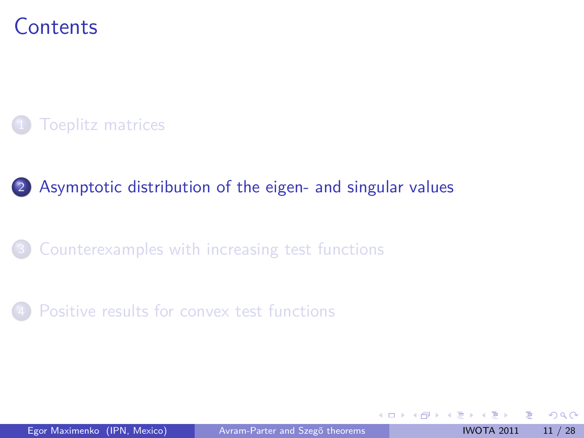## **Contents**

### **[Toeplitz matrices](#page-3-0)**

### 2 [Asymptotic distribution of the eigen- and singular values](#page-10-0)

### [Counterexamples with increasing test functions](#page-21-0)

### [Positive results for convex test functions](#page-29-0)

<span id="page-10-0"></span>4 0 8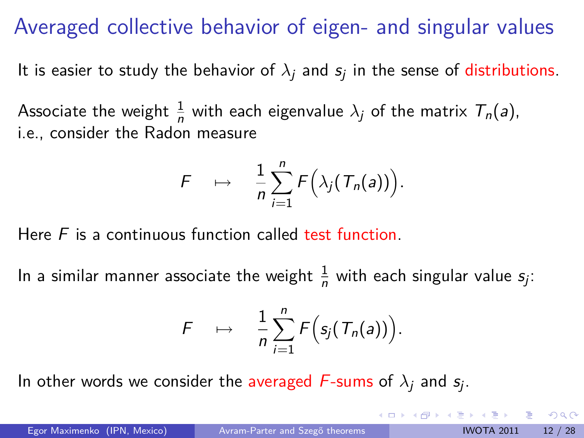# Averaged collective behavior of eigen- and singular values

It is easier to study the behavior of  $\lambda_j$  and  $s_j$  in the sense of  ${\rm distributions.}$ 

Associate the weight  $\frac{1}{n}$  with each eigenvalue  $\lambda_j$  of the matrix  $\mathcal{T}_n(a)$ , i.e., consider the Radon measure

$$
F \quad \mapsto \quad \frac{1}{n}\sum_{i=1}^n F\Big(\lambda_j(T_n(a))\Big).
$$

Here  $F$  is a continuous function called test function.

In a similar manner associate the weight  $\frac{1}{n}$  with each singular value  $s_j$ :

$$
F \quad \mapsto \quad \frac{1}{n} \sum_{i=1}^n F\Big(s_j(T_n(a))\Big).
$$

In other words we consider the averaged  $F$ -sums of  $\lambda_j$  and  $s_j.$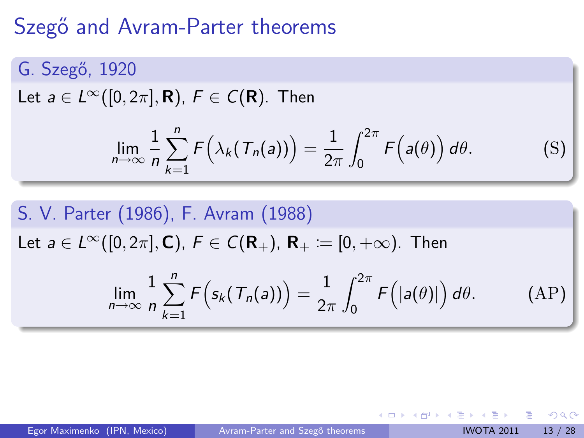# Szegő and Avram-Parter theorems

G. Szegő, 1920

Let  $a \in L^{\infty}([0, 2\pi], \mathbf{R})$ ,  $F \in C(\mathbf{R})$ . Then

$$
\lim_{n\to\infty}\frac{1}{n}\sum_{k=1}^n F\Big(\lambda_k(T_n(a))\Big)=\frac{1}{2\pi}\int_0^{2\pi}F\Big(a(\theta)\Big)\,d\theta.\tag{S}
$$

S. V. Parter (1986), F. Avram (1988)

Let *a* ∈ *L*<sup>∞</sup>([0, 2π], **C**), *F* ∈ *C*(**R**<sub>+</sub>), **R**<sub>+</sub> := [0, +∞). Then

$$
\lim_{n\to\infty}\frac{1}{n}\sum_{k=1}^n F\Big(s_k(T_n(a))\Big)=\frac{1}{2\pi}\int_0^{2\pi}F\Big(|a(\theta)|\Big)\,d\theta.\tag{AP}
$$

4 0 F

 $QQ$ 

 $\left\{ \left( \left| \mathbf{q} \right| \right) \in \mathbb{R} \right\} \times \left\{ \left| \mathbf{q} \right| \right\} \times \left\{ \left| \mathbf{q} \right| \right\}$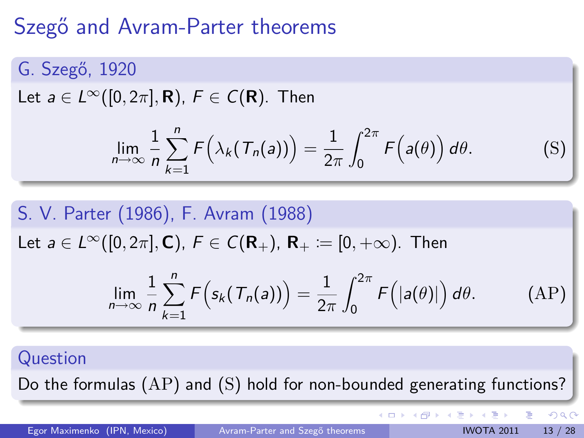# Szegő and Avram-Parter theorems

G. Szegő, 1920

Let  $a \in L^{\infty}([0, 2\pi], \mathbf{R})$ ,  $F \in C(\mathbf{R})$ . Then

$$
\lim_{n\to\infty}\frac{1}{n}\sum_{k=1}^n F\Big(\lambda_k(T_n(a))\Big)=\frac{1}{2\pi}\int_0^{2\pi}F\Big(a(\theta)\Big)\,d\theta.\tag{S}
$$

S. V. Parter (1986), F. Avram (1988)

Let *a* ∈  $L^{\infty}([0, 2\pi], \mathbf{C})$ , *F* ∈  $C(\mathbf{R}_+)$ , **R**<sub>+</sub> := [0, +∞). Then

$$
\lim_{n\to\infty}\frac{1}{n}\sum_{k=1}^n F\Big(s_k(T_n(a))\Big)=\frac{1}{2\pi}\int_0^{2\pi}F\Big(|a(\theta)|\Big)\,d\theta.\qquad\qquad\text{(AP)}
$$

#### Question

Do the formulas (AP) and (S) hold for non-bounded generating functions?

Egor Maximenko (IPN, Mexico) Avram-Parter and Szegő theorems IVOTA 2011 13 / 28

目

 $\Omega$ 

 $4$  ロ }  $4$   $\overline{m}$  }  $4$   $\overline{m}$  }  $4$   $\overline{m}$  }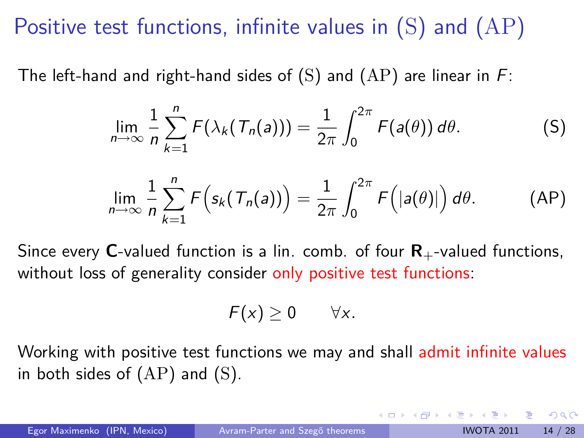# Positive test functions, infinite values in  $(S)$  and  $(AP)$

The left-hand and right-hand sides of  $(S)$  and  $(AP)$  are linear in F:

$$
\lim_{n\to\infty}\frac{1}{n}\sum_{k=1}^n F(\lambda_k(T_n(a)))=\frac{1}{2\pi}\int_0^{2\pi}F(a(\theta))\,d\theta.
$$
 (S)

$$
\lim_{n\to\infty}\frac{1}{n}\sum_{k=1}^n F\Big(s_k(T_n(a))\Big)=\frac{1}{2\pi}\int_0^{2\pi}F\Big(|a(\theta)|\Big)\,d\theta.\tag{AP}
$$

Since every **C**-valued function is a lin. comb. of four  $\mathbf{R}_{+}$ -valued functions, without loss of generality consider only positive test functions:

<span id="page-14-0"></span>
$$
F(x) \geq 0 \qquad \forall x.
$$

Working with positive test functions we may and shall admit infinite values in both sides of  $(AP)$  and  $(S)$ .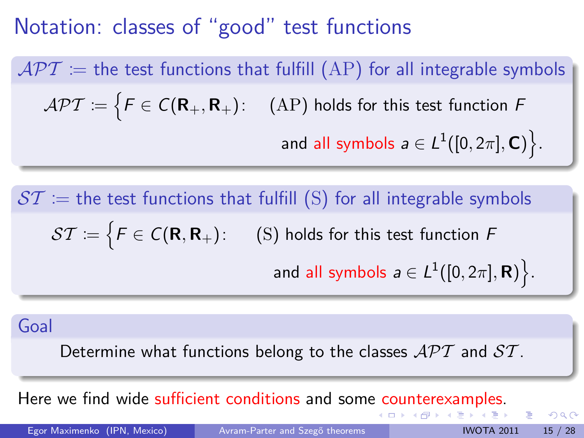## Notation: classes of "good" test functions

 $APT =$  the test functions that fulfill (AP) for all integrable symbols  $\mathcal{APT} \coloneqq \bigl\{ \mathsf{F} \in \mathsf{C}(\mathsf{R}_+,\mathsf{R}_+): \quad \text{(AP) holds for this test function } \mathsf{F}$ and all symbols  $\boldsymbol{a}\in L^1([0,2\pi],\mathbf{C})\big\}$  .

 $ST =$  the test functions that fulfill (S) for all integrable symbols  $\mathcal{ST} \coloneqq \bigl\{ \mathcal{F} \in \mathcal{C}(\mathsf{R},\mathsf{R}_+): \quad \text{ (S) holds for this test function } \mathcal{F} \bigr\}$ and all symbols  $a \in L^1([0,2\pi],\mathbf{R})\big\}$  .

Goal

Determine what functions belong to the classes  $\mathcal{APT}$  and  $\mathcal{ST}$ .

Here we find wide suffi[c](#page-14-0)ient conditions and some c[ou](#page-16-0)[n](#page-14-0)[ter](#page-15-0)[e](#page-10-0)[x](#page-9-0)[a](#page-10-0)[m](#page-20-0)[pl](#page-9-0)e[s](#page-20-0)[.](#page-21-0)

Egor Maximenko (IPN, Mexico) Avram-Parter and Szegő theorems IVOTA 2011 15 / 28

<span id="page-15-0"></span>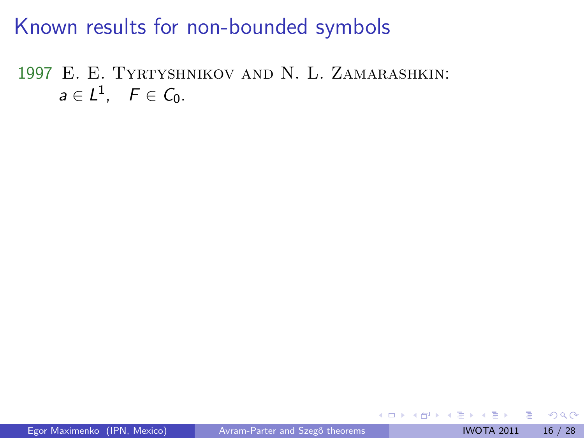1997 E. E. Tyrtyshnikov and N. L. Zamarashkin:  $a\in L^1$ ,  $F\in \mathcal{C}_0$ .

4 0 3

<span id="page-16-0"></span> $\triangleright$   $\rightarrow$   $\triangleright$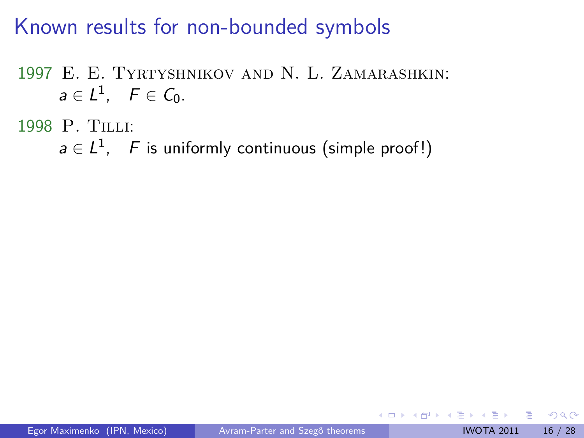1997 E. E. Tyrtyshnikov and N. L. Zamarashkin:  $a\in L^1$ ,  $F\in \mathcal{C}_0$ .

1998 P. Tilli:

 $a \in L^1$ , F is uniformly continuous (simple proof!)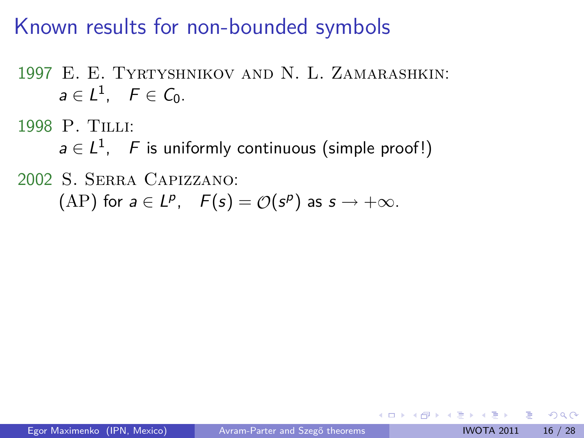1997 E. E. Tyrtyshnikov and N. L. Zamarashkin:  $a\in L^1$ ,  $F\in \mathcal{C}_0$ .

1998 P. Tilli:

 $a \in L^1$ , F is uniformly continuous (simple proof!)

2002 S. Serra Capizzano:

 $(AP)$  for  $a \in L^p$ ,  $F(s) = \mathcal{O}(s^p)$  as  $s \to +\infty$ .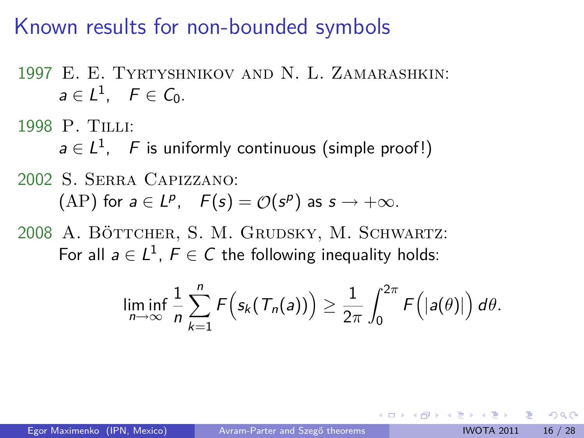1997 E. E. Tyrtyshnikov and N. L. Zamarashkin:  $a\in L^1$ ,  $F\in \mathcal{C}_0$ .

1998 P. Tilli:

 $a \in L^1$ , F is uniformly continuous (simple proof!)

#### 2002 S. Serra Capizzano:

 $(AP)$  for  $a \in L^p$ ,  $F(s) = \mathcal{O}(s^p)$  as  $s \to +\infty$ .

2008 A. BÖTTCHER, S. M. GRUDSKY, M. SCHWARTZ: For all  $a \in L^1$ ,  $F \in C$  the following inequality holds:

$$
\liminf_{n\to\infty}\frac{1}{n}\sum_{k=1}^n F\Big(s_k(T_n(a))\Big)\geq \frac{1}{2\pi}\int_0^{2\pi} F\Big(|a(\theta)|\Big)\,d\theta.
$$

つへへ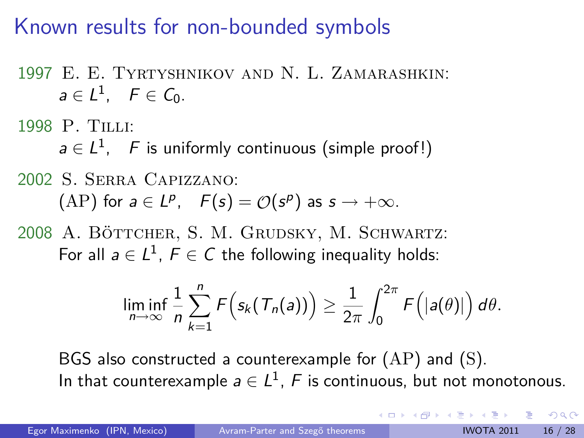- 1997 E. E. Tyrtyshnikov and N. L. Zamarashkin:  $a\in L^1$ ,  $F\in \mathcal{C}_0$ .
- 1998 P. Tilli:

 $a \in L^1$ , F is uniformly continuous (simple proof!)

#### 2002 S. Serra Capizzano:

 $(AP)$  for  $a \in L^p$ ,  $F(s) = \mathcal{O}(s^p)$  as  $s \to +\infty$ .

2008 A. BÖTTCHER, S. M. GRUDSKY, M. SCHWARTZ: For all  $a \in L^1$ ,  $F \in C$  the following inequality holds:

<span id="page-20-0"></span>
$$
\liminf_{n\to\infty}\frac{1}{n}\sum_{k=1}^n F\Big(s_k(T_n(a))\Big)\geq \frac{1}{2\pi}\int_0^{2\pi} F\Big(|a(\theta)|\Big)\,d\theta.
$$

BGS also constructed a counterexample for  $(AP)$  and  $(S)$ . In that counterexample  $a \in L^1$ ,  $F$  is continuous, but not monotonous.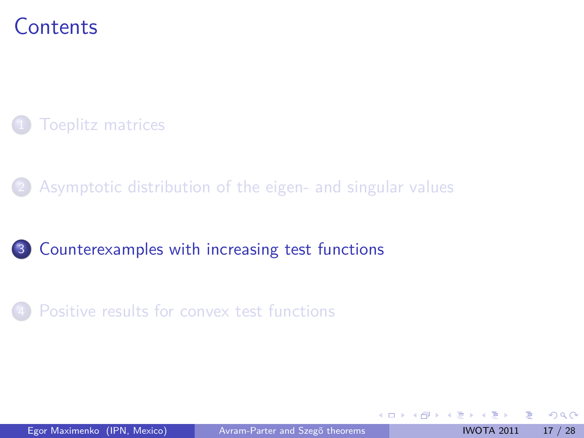## **Contents**

### **[Toeplitz matrices](#page-3-0)**

[Asymptotic distribution of the eigen- and singular values](#page-10-0)

### 3 [Counterexamples with increasing test functions](#page-21-0)

#### [Positive results for convex test functions](#page-29-0)

<span id="page-21-0"></span>4 0 3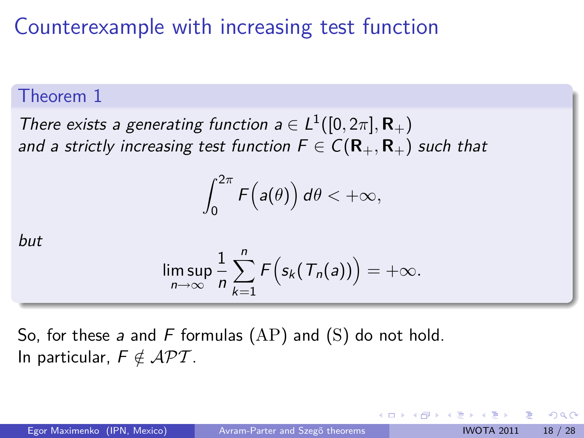#### Theorem 1

There exists a generating function  $a \in L^1([0, 2\pi], \mathbf{R}_+)$ and a strictly increasing test function  $F \in C(\mathbf{R}_+,\mathbf{R}_+)$  such that

$$
\int_0^{2\pi} F\Big(a(\theta)\Big)\,d\theta < +\infty,
$$

but

$$
\limsup_{n\to\infty}\frac{1}{n}\sum_{k=1}^nF\Big(s_k(T_n(a))\Big)=+\infty.
$$

So, for these a and F formulas  $(AP)$  and  $(S)$  do not hold. In particular,  $F \notin \mathcal{APT}$ .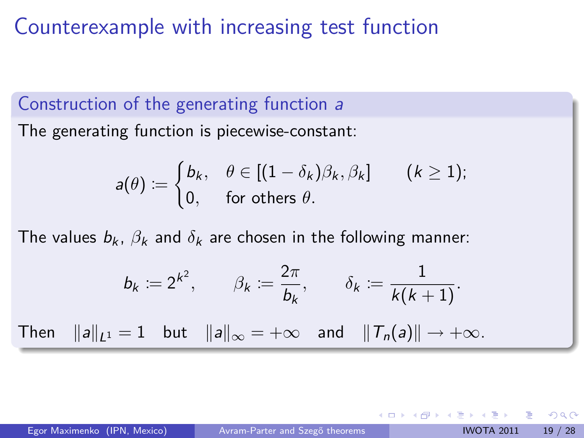### Construction of the generating function a

The generating function is piecewise-constant:

$$
a(\theta) := \begin{cases} b_k, & \theta \in [(1 - \delta_k)\beta_k, \beta_k] \\ 0, & \text{for others } \theta. \end{cases} (k \ge 1);
$$

The values  $b_k$ ,  $\beta_k$  and  $\delta_k$  are chosen in the following manner:

$$
b_k := 2^{k^2}, \qquad \beta_k := \frac{2\pi}{b_k}, \qquad \delta_k := \frac{1}{k(k+1)}.
$$
  
Then  $||a||_{L^1} = 1$  but  $||a||_{\infty} = +\infty$  and  $||T_n(a)|| \to +\infty$ .

つへへ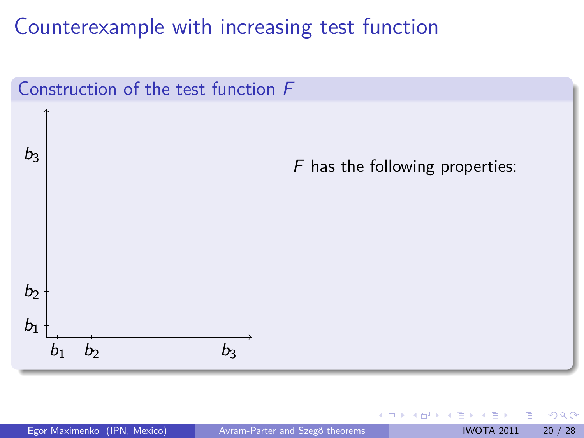

€⊡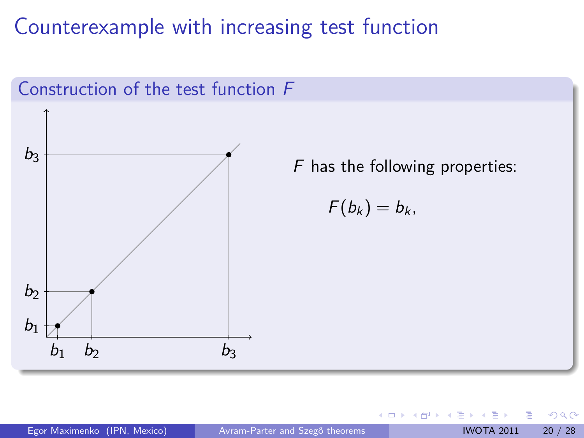

€⊡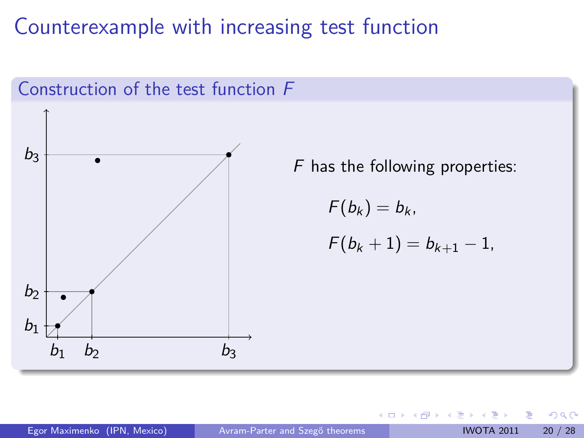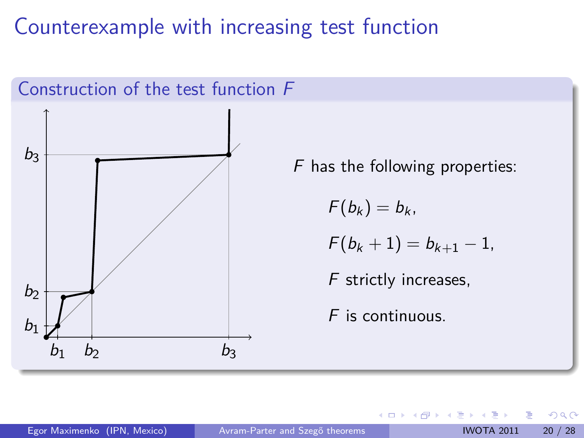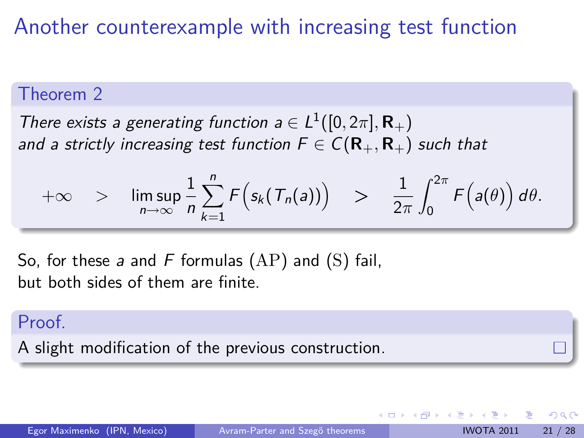# Another counterexample with increasing test function

#### Theorem 2

There exists a generating function  $a \in L^1([0, 2\pi], \mathbf{R}_+)$ and a strictly increasing test function  $F \in C(\mathbf{R}_+,\mathbf{R}_+)$  such that

$$
+\infty > \limsup_{n\to\infty}\frac{1}{n}\sum_{k=1}^n F\Big(s_k(T_n(a))\Big) > \frac{1}{2\pi}\int_0^{2\pi} F\Big(a(\theta)\Big) d\theta.
$$

So, for these a and F formulas  $(AP)$  and  $(S)$  fail, but both sides of them are finite.

#### Proof.

A slight modification of the previous construction.

つへへ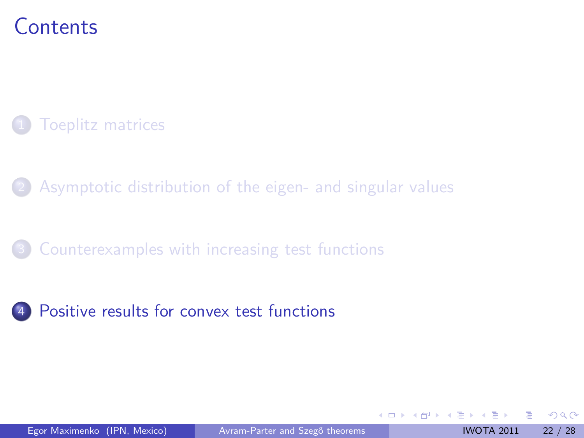## **Contents**

### **[Toeplitz matrices](#page-3-0)**

[Asymptotic distribution of the eigen- and singular values](#page-10-0)

### [Counterexamples with increasing test functions](#page-21-0)

### 4 [Positive results for convex test functions](#page-29-0)

<span id="page-29-0"></span>4 0 3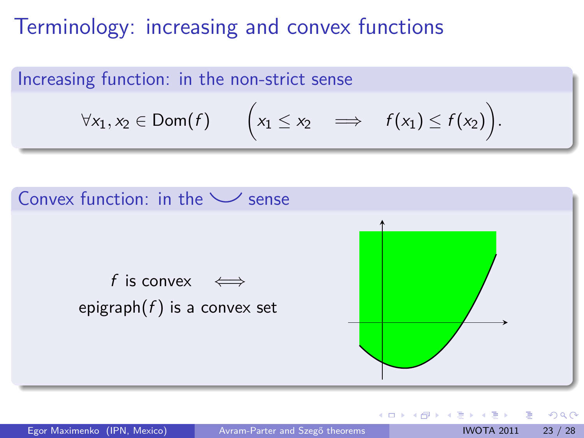## Terminology: increasing and convex functions

Increasing function: in the non-strict sense

$$
\forall x_1, x_2 \in \text{Dom}(f) \qquad \bigg(x_1 \leq x_2 \quad \Longrightarrow \quad f(x_1) \leq f(x_2)\bigg).
$$



Egor Maximenko (IPN, Mexico) Avram-Parter and Szegő theorems IWOTA 2011 23 / 28

4 0 8

 $\left\{ \left\vert \left\langle \left\langle \left\langle \mathbf{q} \right\rangle \right\rangle \right\rangle \right\} \right.$   $\left\{ \left\vert \left\langle \mathbf{q} \right\rangle \right\rangle \right\}$   $\left\{ \left\langle \left\langle \mathbf{q} \right\rangle \right\rangle \right\}$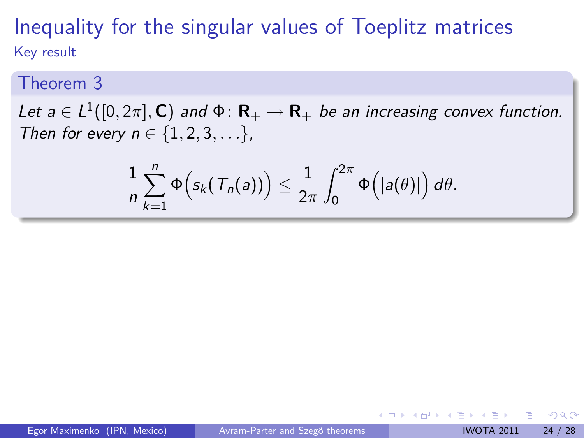### Inequality for the singular values of Toeplitz matrices Key result

#### Theorem 3

Let  $a \in L^1([0,2\pi],\mathbf{C})$  and  $\Phi\colon \mathbf{R}_+\to \mathbf{R}_+$  be an increasing convex function. Then for every  $n \in \{1, 2, 3, ...\}$ ,

$$
\frac{1}{n}\sum_{k=1}^n\Phi\Big(s_k(\mathcal{T}_n(a))\Big)\leq \frac{1}{2\pi}\int_0^{2\pi}\Phi\Big(|a(\theta)|\Big)\,d\theta.
$$

つへへ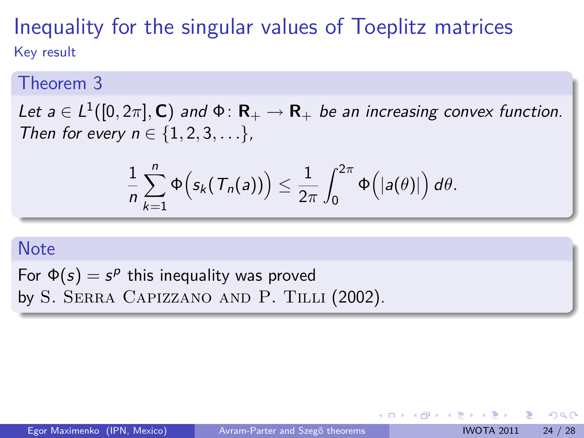### Inequality for the singular values of Toeplitz matrices Key result

#### Theorem 3

Let  $a \in L^1([0,2\pi],\mathbf{C})$  and  $\Phi\colon \mathbf{R}_+\to \mathbf{R}_+$  be an increasing convex function. Then for every  $n \in \{1, 2, 3, ...\}$ ,

$$
\frac{1}{n}\sum_{k=1}^n\Phi\Big(s_k(\mathcal{T}_n(a))\Big)\leq \frac{1}{2\pi}\int_0^{2\pi}\Phi\Big(|a(\theta)|\Big)\,d\theta.
$$

#### Note

For  $\Phi(s) = s^p$  this inequality was proved by S. SERRA CAPIZZANO AND P. TILLI (2002).

つへへ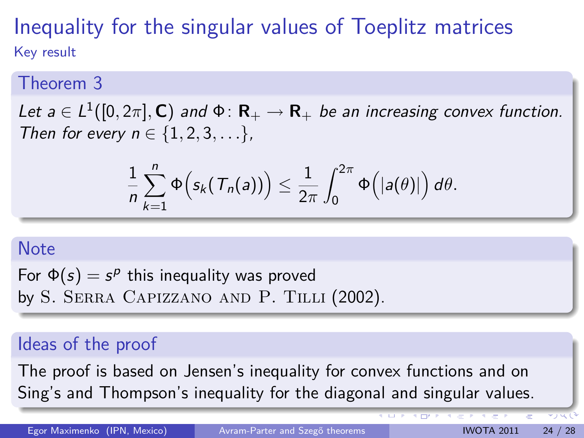### Inequality for the singular values of Toeplitz matrices Key result

#### Theorem 3

Let  $a \in L^1([0,2\pi],\mathbf{C})$  and  $\Phi\colon \mathbf{R}_+\to \mathbf{R}_+$  be an increasing convex function. Then for every  $n \in \{1, 2, 3, ...\}$ ,

$$
\frac{1}{n}\sum_{k=1}^n\Phi\Big(s_k(\mathcal{T}_n(a))\Big)\leq \frac{1}{2\pi}\int_0^{2\pi}\Phi\Big(|a(\theta)|\Big)\,d\theta.
$$

#### Note

For  $\Phi(s) = s^p$  this inequality was proved by S. SERRA CAPIZZANO AND P. TILLI (2002).

### Ideas of the proof

The proof is based on Jensen's inequality for convex functions and on Sing's and Thompson's inequality for the diagonal and singular values.

Egor Maximenko (IPN, Mexico) Avram-Parter and Szegő theorems IWOTA 2011 24 / 28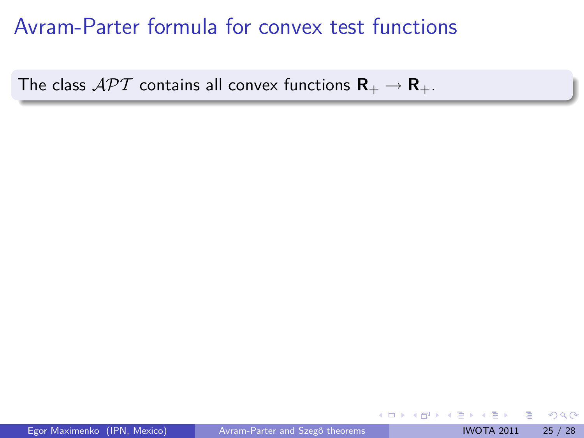# Avram-Parter formula for convex test functions

The class  $\mathcal{APT}$  contains all convex functions  $\mathbf{R}_+ \to \mathbf{R}_+$ .

4 0 8

 $\mathbf{y} \rightarrow \mathbf{z}$  . If  $\mathbf{y} \rightarrow \mathbf{z}$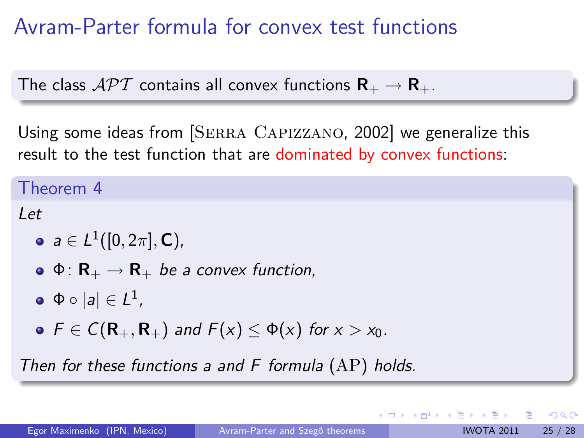# Avram-Parter formula for convex test functions

The class  $\mathcal{API}$  contains all convex functions  $\mathbf{R}_{+} \rightarrow \mathbf{R}_{+}$ .

Using some ideas from [SERRA CAPIZZANO, 2002] we generalize this result to the test function that are dominated by convex functions:

Theorem 4

Let

 $a\in L^1([0,2\pi],\mathbf{C})$  ,

$$
\bullet \, \Phi \colon \mathsf{R}_+ \to \mathsf{R}_+ \, \text{ be a convex function,}
$$

 $\Phi \circ |a| \in L^1$  ,

 $\bullet$   $F \in C(\mathbf{R}_+,\mathbf{R}_+)$  and  $F(x) < \Phi(x)$  for  $x > x_0$ .

Then for these functions a and  $F$  formula  $(AP)$  holds.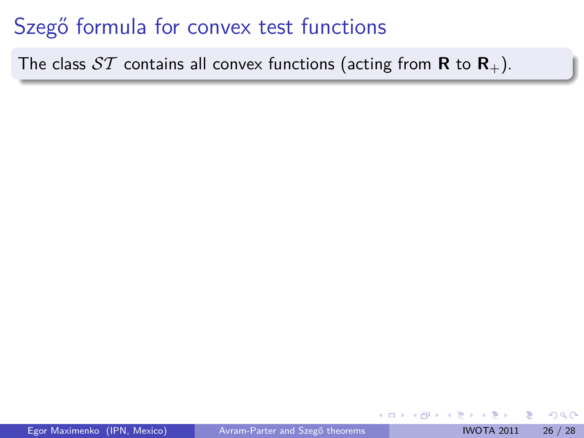# Szegő formula for convex test functions

The class  $ST$  contains all convex functions (acting from **R** to **R**<sub>+</sub>).

4 □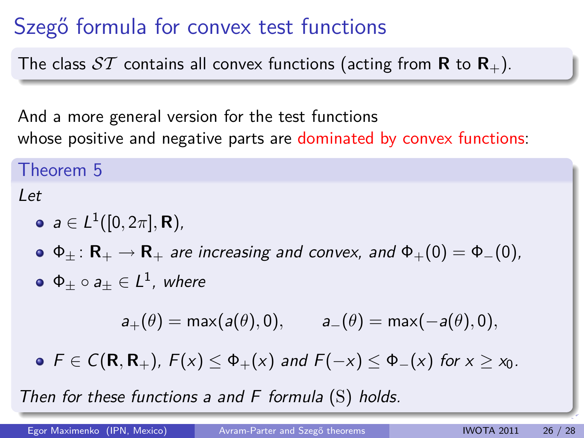# Szegő formula for convex test functions

The class  $ST$  contains all convex functions (acting from **R** to **R**<sub>+</sub>).

And a more general version for the test functions whose positive and negative parts are dominated by convex functions:

Theorem 5

Let

$$
\bullet \ \ a \in L^1([0,2\pi],\mathbf{R}),
$$

 $\Phi_+ : \mathbf{R}_+ \to \mathbf{R}_+$  are increasing and convex, and  $\Phi_+(0) = \Phi_-(0)$ ,  $\mathsf \Phi_{\pm} \circ \mathsf a_{\pm} \in \mathsf L^1$  , where

$$
a_+(\theta) = \max(a(\theta), 0), \qquad a_-(\theta) = \max(-a(\theta), 0),
$$

 $\bullet$   $\mathsf{F} \in \mathsf{C}(\mathsf{R},\mathsf{R}_+)$ ,  $\mathsf{F}(x) \leq \Phi_+(x)$  and  $\mathsf{F}(-x) \leq \Phi_-(x)$  for  $x > x_0$ .

Then for these functions a and  $F$  formula  $(S)$  holds.

Egor Maximenko (IPN, Mexico) Avram-Parter and Szegő theorems IWOTA 2011 26 / 28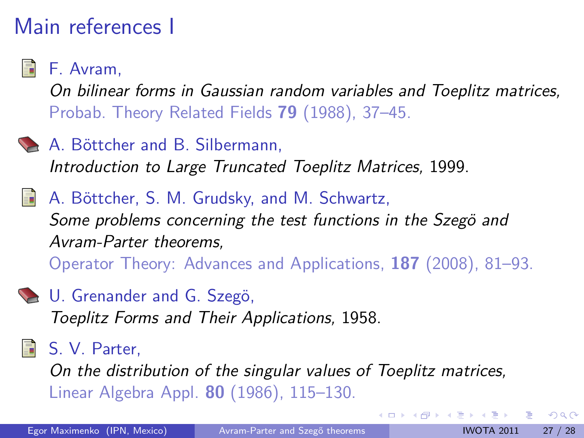# Main references I

F. Avram,

On bilinear forms in Gaussian random variables and Toeplitz matrices, Probab. Theory Related Fields **79** (1988), 37–45.

- A. Böttcher and B. Silbermann, Introduction to Large Truncated Toeplitz Matrices, 1999.
	- A. Böttcher, S. M. Grudsky, and M. Schwartz, Some problems concerning the test functions in the Szegö and Avram-Parter theorems, Operator Theory: Advances and Applications, **187** (2008), 81–93.
- 

**L.** U. Grenander and G. Szegö,

Toeplitz Forms and Their Applications, 1958.

### **同 S. V. Parter.**

On the distribution of the singular values of Toeplitz matrices, Linear Algebra Appl. **80** (1986), 115–130.